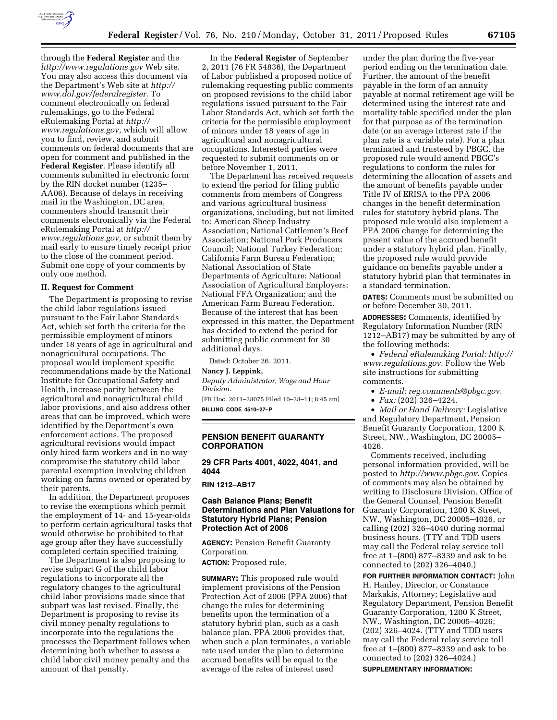

through the **Federal Register** and the *<http://www.regulations.gov>* Web site. You may also access this document via the Department's Web site at *[http://](http://www.dol.gov/federalregister) [www.dol.gov/federalregister.](http://www.dol.gov/federalregister)* To comment electronically on federal rulemakings, go to the Federal eRulemaking Portal at *[http://](http://www.regulations.gov)  [www.regulations.gov,](http://www.regulations.gov)* which will allow you to find, review, and submit comments on federal documents that are open for comment and published in the **Federal Register**. Please identify all comments submitted in electronic form by the RIN docket number (1235– AA06). Because of delays in receiving mail in the Washington, DC area, commenters should transmit their comments electronically via the Federal eRulemaking Portal at *[http://](http://www.regulations.gov)  [www.regulations.gov,](http://www.regulations.gov)* or submit them by mail early to ensure timely receipt prior to the close of the comment period. Submit one copy of your comments by only one method.

#### **II. Request for Comment**

The Department is proposing to revise the child labor regulations issued pursuant to the Fair Labor Standards Act, which set forth the criteria for the permissible employment of minors under 18 years of age in agricultural and nonagricultural occupations. The proposal would implement specific recommendations made by the National Institute for Occupational Safety and Health, increase parity between the agricultural and nonagricultural child labor provisions, and also address other areas that can be improved, which were identified by the Department's own enforcement actions. The proposed agricultural revisions would impact only hired farm workers and in no way compromise the statutory child labor parental exemption involving children working on farms owned or operated by their parents.

In addition, the Department proposes to revise the exemptions which permit the employment of 14- and 15-year-olds to perform certain agricultural tasks that would otherwise be prohibited to that age group after they have successfully completed certain specified training.

The Department is also proposing to revise subpart G of the child labor regulations to incorporate all the regulatory changes to the agricultural child labor provisions made since that subpart was last revised. Finally, the Department is proposing to revise its civil money penalty regulations to incorporate into the regulations the processes the Department follows when determining both whether to assess a child labor civil money penalty and the amount of that penalty.

In the **Federal Register** of September 2, 2011 (76 FR 54836), the Department of Labor published a proposed notice of rulemaking requesting public comments on proposed revisions to the child labor regulations issued pursuant to the Fair Labor Standards Act, which set forth the criteria for the permissible employment of minors under 18 years of age in agricultural and nonagricultural occupations. Interested parties were requested to submit comments on or before November 1, 2011.

The Department has received requests to extend the period for filing public comments from members of Congress and various agricultural business organizations, including, but not limited to: American Sheep Industry Association; National Cattlemen's Beef Association; National Pork Producers Council; National Turkey Federation; California Farm Bureau Federation; National Association of State Departments of Agriculture; National Association of Agricultural Employers; National FFA Organization; and the American Farm Bureau Federation. Because of the interest that has been expressed in this matter, the Department has decided to extend the period for submitting public comment for 30 additional days.

Dated: October 26, 2011.

#### **Nancy J. Leppink,**

*Deputy Administrator, Wage and Hour Division.* 

[FR Doc. 2011–28075 Filed 10–28–11; 8:45 am] **BILLING CODE 4510–27–P** 

## **PENSION BENEFIT GUARANTY CORPORATION**

## **29 CFR Parts 4001, 4022, 4041, and 4044**

**RIN 1212–AB17** 

## **Cash Balance Plans; Benefit Determinations and Plan Valuations for Statutory Hybrid Plans; Pension Protection Act of 2006**

**AGENCY:** Pension Benefit Guaranty Corporation.

**ACTION:** Proposed rule.

**SUMMARY:** This proposed rule would implement provisions of the Pension Protection Act of 2006 (PPA 2006) that change the rules for determining benefits upon the termination of a statutory hybrid plan, such as a cash balance plan. PPA 2006 provides that, when such a plan terminates, a variable rate used under the plan to determine accrued benefits will be equal to the average of the rates of interest used

under the plan during the five-year period ending on the termination date. Further, the amount of the benefit payable in the form of an annuity payable at normal retirement age will be determined using the interest rate and mortality table specified under the plan for that purpose as of the termination date (or an average interest rate if the plan rate is a variable rate). For a plan terminated and trusteed by PBGC, the proposed rule would amend PBGC's regulations to conform the rules for determining the allocation of assets and the amount of benefits payable under Title IV of ERISA to the PPA 2006 changes in the benefit determination rules for statutory hybrid plans. The proposed rule would also implement a PPA 2006 change for determining the present value of the accrued benefit under a statutory hybrid plan. Finally, the proposed rule would provide guidance on benefits payable under a statutory hybrid plan that terminates in a standard termination.

**DATES:** Comments must be submitted on or before December 30, 2011.

**ADDRESSES:** Comments, identified by Regulatory Information Number (RIN 1212–AB17) may be submitted by any of the following methods:

• *Federal eRulemaking Portal: [http://](http://www.regulations.gov)  [www.regulations.gov](http://www.regulations.gov)*. Follow the Web site instructions for submitting comments.

- *E-mail: [reg.comments@pbgc.gov](mailto:reg.comments@pbgc.gov)*.
	- *Fax:* (202) 326–4224.

• *Mail or Hand Delivery:* Legislative and Regulatory Department, Pension Benefit Guaranty Corporation, 1200 K Street, NW., Washington, DC 20005– 4026.

Comments received, including personal information provided, will be posted to *<http://www.pbgc.gov>*. Copies of comments may also be obtained by writing to Disclosure Division, Office of the General Counsel, Pension Benefit Guaranty Corporation, 1200 K Street, NW., Washington, DC 20005–4026, or calling (202) 326–4040 during normal business hours. (TTY and TDD users may call the Federal relay service toll free at 1–(800) 877–8339 and ask to be connected to (202) 326–4040.)

**FOR FURTHER INFORMATION CONTACT:** John H. Hanley, Director, or Constance Markakis, Attorney; Legislative and Regulatory Department, Pension Benefit Guaranty Corporation, 1200 K Street, NW., Washington, DC 20005–4026; (202) 326–4024. (TTY and TDD users may call the Federal relay service toll free at 1–(800) 877–8339 and ask to be connected to (202) 326–4024.) **SUPPLEMENTARY INFORMATION:**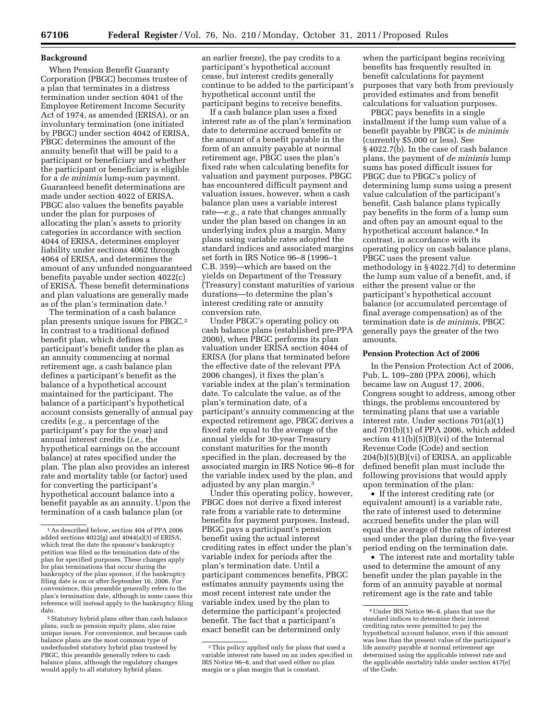### **Background**

When Pension Benefit Guaranty Corporation (PBGC) becomes trustee of a plan that terminates in a distress termination under section 4041 of the Employee Retirement Income Security Act of 1974, as amended (ERISA), or an involuntary termination (one initiated by PBGC) under section 4042 of ERISA, PBGC determines the amount of the annuity benefit that will be paid to a participant or beneficiary and whether the participant or beneficiary is eligible for a *de minimis* lump-sum payment. Guaranteed benefit determinations are made under section 4022 of ERISA. PBGC also values the benefits payable under the plan for purposes of allocating the plan's assets to priority categories in accordance with section 4044 of ERISA, determines employer liability under sections 4062 through 4064 of ERISA, and determines the amount of any unfunded nonguaranteed benefits payable under section 4022(c) of ERISA. These benefit determinations and plan valuations are generally made as of the plan's termination date.1

The termination of a cash balance plan presents unique issues for PBGC.2 In contrast to a traditional defined benefit plan, which defines a participant's benefit under the plan as an annuity commencing at normal retirement age, a cash balance plan defines a participant's benefit as the balance of a hypothetical account maintained for the participant. The balance of a participant's hypothetical account consists generally of annual pay credits (*e.g.,* a percentage of the participant's pay for the year) and annual interest credits (*i.e.,* the hypothetical earnings on the account balance) at rates specified under the plan. The plan also provides an interest rate and mortality table (or factor) used for converting the participant's hypothetical account balance into a benefit payable as an annuity. Upon the termination of a cash balance plan (or

2Statutory hybrid plans other than cash balance plans, such as pension equity plans, also raise unique issues. For convenience, and because cash balance plans are the most common type of underfunded statutory hybrid plan trusteed by PBGC, this preamble generally refers to cash balance plans, although the regulatory changes would apply to all statutory hybrid plans.

an earlier freeze), the pay credits to a participant's hypothetical account cease, but interest credits generally continue to be added to the participant's hypothetical account until the participant begins to receive benefits.

If a cash balance plan uses a fixed interest rate as of the plan's termination date to determine accrued benefits or the amount of a benefit payable in the form of an annuity payable at normal retirement age, PBGC uses the plan's fixed rate when calculating benefits for valuation and payment purposes. PBGC has encountered difficult payment and valuation issues, however, when a cash balance plan uses a variable interest rate—*e.g.,* a rate that changes annually under the plan based on changes in an underlying index plus a margin. Many plans using variable rates adopted the standard indices and associated margins set forth in IRS Notice 96–8 (1996–1 C.B. 359)—which are based on the yields on Department of the Treasury (Treasury) constant maturities of various durations—to determine the plan's interest crediting rate or annuity conversion rate.

Under PBGC's operating policy on cash balance plans (established pre-PPA 2006), when PBGC performs its plan valuation under ERISA section 4044 of ERISA (for plans that terminated before the effective date of the relevant PPA 2006 changes), it fixes the plan's variable index at the plan's termination date. To calculate the value, as of the plan's termination date, of a participant's annuity commencing at the expected retirement age, PBGC derives a fixed rate equal to the average of the annual yields for 30-year Treasury constant maturities for the month specified in the plan, decreased by the associated margin in IRS Notice 96–8 for the variable index used by the plan, and adjusted by any plan margin.3

Under this operating policy, however, PBGC does not derive a fixed interest rate from a variable rate to determine benefits for payment purposes. Instead, PBGC pays a participant's pension benefit using the actual interest crediting rates in effect under the plan's variable index for periods after the plan's termination date. Until a participant commences benefits, PBGC estimates annuity payments using the most recent interest rate under the variable index used by the plan to determine the participant's projected benefit. The fact that a participant's exact benefit can be determined only

when the participant begins receiving benefits has frequently resulted in benefit calculations for payment purposes that vary both from previously provided estimates and from benefit calculations for valuation purposes.

PBGC pays benefits in a single installment if the lump sum value of a benefit payable by PBGC is *de minimis*  (currently \$5,000 or less). See § 4022.7(b). In the case of cash balance plans, the payment of *de minimis* lump sums has posed difficult issues for PBGC due to PBGC's policy of determining lump sums using a present value calculation of the participant's benefit. Cash balance plans typically pay benefits in the form of a lump sum and often pay an amount equal to the hypothetical account balance.<sup>4</sup> In contrast, in accordance with its operating policy on cash balance plans, PBGC uses the present value methodology in § 4022.7(d) to determine the lump sum value of a benefit, and, if either the present value or the participant's hypothetical account balance (or accumulated percentage of final average compensation) as of the termination date is *de minimis,* PBGC generally pays the greater of the two amounts.

## **Pension Protection Act of 2006**

In the Pension Protection Act of 2006, Pub. L. 109–280 (PPA 2006), which became law on August 17, 2006, Congress sought to address, among other things, the problems encountered by terminating plans that use a variable interest rate. Under sections 701(a)(1) and 701(b)(1) of PPA 2006, which added section 411(b)(5)(B)(vi) of the Internal Revenue Code (Code) and section 204(b)(5)(B)(vi) of ERISA, an applicable defined benefit plan must include the following provisions that would apply upon termination of the plan:

• If the interest crediting rate (or equivalent amount) is a variable rate, the rate of interest used to determine accrued benefits under the plan will equal the average of the rates of interest used under the plan during the five-year period ending on the termination date.

• The interest rate and mortality table used to determine the amount of any benefit under the plan payable in the form of an annuity payable at normal retirement age is the rate and table

<sup>1</sup>As described below, section 404 of PPA 2006 added sections 4022(g) and 4044(a)(3) of ERISA, which treat the date the sponsor's bankruptcy petition was filed as the termination date of the plan for specified purposes. These changes apply for plan terminations that occur during the bankruptcy of the plan sponsor, if the bankruptcy filing date is on or after September 16, 2006. For convenience, this preamble generally refers to the plan's termination date, although in some cases this reference will instead apply to the bankruptcy filing date.

<sup>3</sup>This policy applied only for plans that used a variable interest rate based on an index specified in IRS Notice 96–8, and that used either no plan margin or a plan margin that is constant.

<sup>4</sup>Under IRS Notice 96–8, plans that use the standard indices to determine their interest crediting rates were permitted to pay the hypothetical account balance, even if this amount was less than the present value of the participant's life annuity payable at normal retirement age determined using the applicable interest rate and the applicable mortality table under section 417(e) of the Code.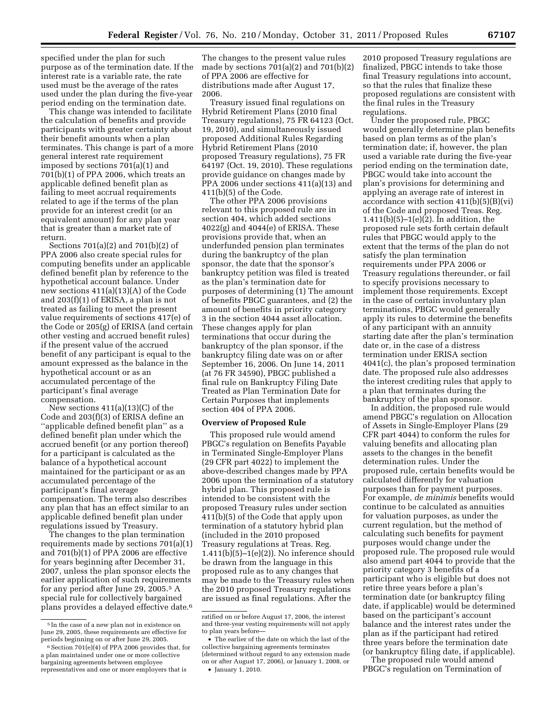specified under the plan for such purpose as of the termination date. If the interest rate is a variable rate, the rate used must be the average of the rates used under the plan during the five-year period ending on the termination date.

This change was intended to facilitate the calculation of benefits and provide participants with greater certainty about their benefit amounts when a plan terminates. This change is part of a more general interest rate requirement imposed by sections 701(a)(1) and 701(b)(1) of PPA 2006, which treats an applicable defined benefit plan as failing to meet accrual requirements related to age if the terms of the plan provide for an interest credit (or an equivalent amount) for any plan year that is greater than a market rate of return.

Sections 701(a)(2) and 701(b)(2) of PPA 2006 also create special rules for computing benefits under an applicable defined benefit plan by reference to the hypothetical account balance. Under new sections 411(a)(13)(A) of the Code and 203(f)(1) of ERISA, a plan is not treated as failing to meet the present value requirements of sections 417(e) of the Code or 205(g) of ERISA (and certain other vesting and accrued benefit rules) if the present value of the accrued benefit of any participant is equal to the amount expressed as the balance in the hypothetical account or as an accumulated percentage of the participant's final average compensation.

New sections 411(a)(13)(C) of the Code and 203(f)(3) of ERISA define an ''applicable defined benefit plan'' as a defined benefit plan under which the accrued benefit (or any portion thereof) for a participant is calculated as the balance of a hypothetical account maintained for the participant or as an accumulated percentage of the participant's final average compensation. The term also describes any plan that has an effect similar to an applicable defined benefit plan under regulations issued by Treasury.

The changes to the plan termination requirements made by sections 701(a)(1) and 701(b)(1) of PPA 2006 are effective for years beginning after December 31, 2007, unless the plan sponsor elects the earlier application of such requirements for any period after June 29, 2005.5 A special rule for collectively bargained plans provides a delayed effective date.6

The changes to the present value rules made by sections  $701(a)(2)$  and  $701(b)(2)$ of PPA 2006 are effective for distributions made after August 17, 2006.

Treasury issued final regulations on Hybrid Retirement Plans (2010 final Treasury regulations), 75 FR 64123 (Oct. 19, 2010), and simultaneously issued proposed Additional Rules Regarding Hybrid Retirement Plans (2010 proposed Treasury regulations), 75 FR 64197 (Oct. 19, 2010). These regulations provide guidance on changes made by PPA 2006 under sections 411(a)(13) and 411(b)(5) of the Code.

The other PPA 2006 provisions relevant to this proposed rule are in section 404, which added sections 4022(g) and 4044(e) of ERISA. These provisions provide that, when an underfunded pension plan terminates during the bankruptcy of the plan sponsor, the date that the sponsor's bankruptcy petition was filed is treated as the plan's termination date for purposes of determining (1) The amount of benefits PBGC guarantees, and (2) the amount of benefits in priority category 3 in the section 4044 asset allocation. These changes apply for plan terminations that occur during the bankruptcy of the plan sponsor, if the bankruptcy filing date was on or after September 16, 2006. On June 14, 2011 (at 76 FR 34590), PBGC published a final rule on Bankruptcy Filing Date Treated as Plan Termination Date for Certain Purposes that implements section 404 of PPA 2006.

#### **Overview of Proposed Rule**

This proposed rule would amend PBGC's regulation on Benefits Payable in Terminated Single-Employer Plans (29 CFR part 4022) to implement the above-described changes made by PPA 2006 upon the termination of a statutory hybrid plan. This proposed rule is intended to be consistent with the proposed Treasury rules under section 411(b)(5) of the Code that apply upon termination of a statutory hybrid plan (included in the 2010 proposed Treasury regulations at Treas. Reg. 1.411(b)(5)–1(e)(2)). No inference should be drawn from the language in this proposed rule as to any changes that may be made to the Treasury rules when the 2010 proposed Treasury regulations are issued as final regulations. After the

• January 1, 2010.

2010 proposed Treasury regulations are finalized, PBGC intends to take those final Treasury regulations into account, so that the rules that finalize these proposed regulations are consistent with the final rules in the Treasury regulations.

Under the proposed rule, PBGC would generally determine plan benefits based on plan terms as of the plan's termination date; if, however, the plan used a variable rate during the five-year period ending on the termination date, PBGC would take into account the plan's provisions for determining and applying an average rate of interest in accordance with section 411(b)(5)(B)(vi) of the Code and proposed Treas. Reg. 1.411(b)(5)–1(e)(2). In addition, the proposed rule sets forth certain default rules that PBGC would apply to the extent that the terms of the plan do not satisfy the plan termination requirements under PPA 2006 or Treasury regulations thereunder, or fail to specify provisions necessary to implement those requirements. Except in the case of certain involuntary plan terminations, PBGC would generally apply its rules to determine the benefits of any participant with an annuity starting date after the plan's termination date or, in the case of a distress termination under ERISA section 4041(c), the plan's proposed termination date. The proposed rule also addresses the interest crediting rules that apply to a plan that terminates during the bankruptcy of the plan sponsor.

In addition, the proposed rule would amend PBGC's regulation on Allocation of Assets in Single-Employer Plans (29 CFR part 4044) to conform the rules for valuing benefits and allocating plan assets to the changes in the benefit determination rules. Under the proposed rule, certain benefits would be calculated differently for valuation purposes than for payment purposes. For example, *de minimis* benefits would continue to be calculated as annuities for valuation purposes, as under the current regulation, but the method of calculating such benefits for payment purposes would change under the proposed rule. The proposed rule would also amend part 4044 to provide that the priority category 3 benefits of a participant who is eligible but does not retire three years before a plan's termination date (or bankruptcy filing date, if applicable) would be determined based on the participant's account balance and the interest rates under the plan as if the participant had retired three years before the termination date (or bankruptcy filing date, if applicable).

The proposed rule would amend PBGC's regulation on Termination of

<sup>5</sup> In the case of a new plan not in existence on June 29, 2005, these requirements are effective for periods beginning on or after June 29, 2005.

<sup>6</sup>Section 701(e)(4) of PPA 2006 provides that, for a plan maintained under one or more collective bargaining agreements between employee representatives and one or more employers that is

ratified on or before August 17, 2006, the interest and three-year vesting requirements will not apply to plan years before—

<sup>•</sup> The earlier of the date on which the last of the collective bargaining agreements terminates (determined without regard to any extension made on or after August 17, 2006), or January 1, 2008, or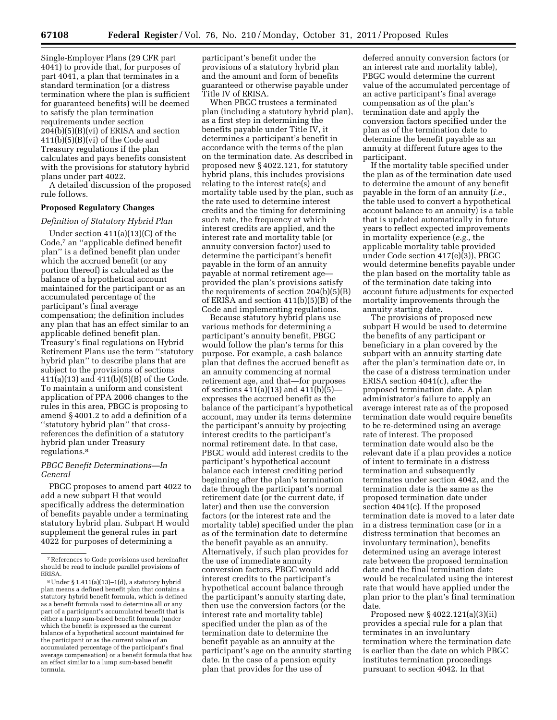Single-Employer Plans (29 CFR part 4041) to provide that, for purposes of part 4041, a plan that terminates in a standard termination (or a distress termination where the plan is sufficient for guaranteed benefits) will be deemed to satisfy the plan termination requirements under section 204(b)(5)(B)(vi) of ERISA and section 411(b)(5)(B)(vi) of the Code and Treasury regulations if the plan calculates and pays benefits consistent with the provisions for statutory hybrid plans under part 4022.

A detailed discussion of the proposed rule follows.

## **Proposed Regulatory Changes**

*Definition of Statutory Hybrid Plan* 

Under section 411(a)(13)(C) of the Code,7 an ''applicable defined benefit plan'' is a defined benefit plan under which the accrued benefit (or any portion thereof) is calculated as the balance of a hypothetical account maintained for the participant or as an accumulated percentage of the participant's final average compensation; the definition includes any plan that has an effect similar to an applicable defined benefit plan. Treasury's final regulations on Hybrid Retirement Plans use the term ''statutory hybrid plan'' to describe plans that are subject to the provisions of sections 411(a)(13) and 411(b)(5)(B) of the Code. To maintain a uniform and consistent application of PPA 2006 changes to the rules in this area, PBGC is proposing to amend § 4001.2 to add a definition of a ''statutory hybrid plan'' that crossreferences the definition of a statutory hybrid plan under Treasury regulations.8

## *PBGC Benefit Determinations—In General*

PBGC proposes to amend part 4022 to add a new subpart H that would specifically address the determination of benefits payable under a terminating statutory hybrid plan. Subpart H would supplement the general rules in part 4022 for purposes of determining a

participant's benefit under the provisions of a statutory hybrid plan and the amount and form of benefits guaranteed or otherwise payable under Title IV of ERISA.

When PBGC trustees a terminated plan (including a statutory hybrid plan), as a first step in determining the benefits payable under Title IV, it determines a participant's benefit in accordance with the terms of the plan on the termination date. As described in proposed new § 4022.121, for statutory hybrid plans, this includes provisions relating to the interest rate(s) and mortality table used by the plan, such as the rate used to determine interest credits and the timing for determining such rate, the frequency at which interest credits are applied, and the interest rate and mortality table (or annuity conversion factor) used to determine the participant's benefit payable in the form of an annuity payable at normal retirement age provided the plan's provisions satisfy the requirements of section 204(b)(5)(B) of ERISA and section 411(b)(5)(B) of the Code and implementing regulations.

Because statutory hybrid plans use various methods for determining a participant's annuity benefit, PBGC would follow the plan's terms for this purpose. For example, a cash balance plan that defines the accrued benefit as an annuity commencing at normal retirement age, and that—for purposes of sections 411(a)(13) and 411(b)(5) expresses the accrued benefit as the balance of the participant's hypothetical account, may under its terms determine the participant's annuity by projecting interest credits to the participant's normal retirement date. In that case, PBGC would add interest credits to the participant's hypothetical account balance each interest crediting period beginning after the plan's termination date through the participant's normal retirement date (or the current date, if later) and then use the conversion factors (or the interest rate and the mortality table) specified under the plan as of the termination date to determine the benefit payable as an annuity. Alternatively, if such plan provides for the use of immediate annuity conversion factors, PBGC would add interest credits to the participant's hypothetical account balance through the participant's annuity starting date, then use the conversion factors (or the interest rate and mortality table) specified under the plan as of the termination date to determine the benefit payable as an annuity at the participant's age on the annuity starting date. In the case of a pension equity plan that provides for the use of

deferred annuity conversion factors (or an interest rate and mortality table), PBGC would determine the current value of the accumulated percentage of an active participant's final average compensation as of the plan's termination date and apply the conversion factors specified under the plan as of the termination date to determine the benefit payable as an annuity at different future ages to the participant.

If the mortality table specified under the plan as of the termination date used to determine the amount of any benefit payable in the form of an annuity (*i.e.,*  the table used to convert a hypothetical account balance to an annuity) is a table that is updated automatically in future years to reflect expected improvements in mortality experience (*e.g.,* the applicable mortality table provided under Code section 417(e)(3)), PBGC would determine benefits payable under the plan based on the mortality table as of the termination date taking into account future adjustments for expected mortality improvements through the annuity starting date.

The provisions of proposed new subpart H would be used to determine the benefits of any participant or beneficiary in a plan covered by the subpart with an annuity starting date after the plan's termination date or, in the case of a distress termination under ERISA section 4041(c), after the proposed termination date. A plan administrator's failure to apply an average interest rate as of the proposed termination date would require benefits to be re-determined using an average rate of interest. The proposed termination date would also be the relevant date if a plan provides a notice of intent to terminate in a distress termination and subsequently terminates under section 4042, and the termination date is the same as the proposed termination date under section 4041(c). If the proposed termination date is moved to a later date in a distress termination case (or in a distress termination that becomes an involuntary termination), benefits determined using an average interest rate between the proposed termination date and the final termination date would be recalculated using the interest rate that would have applied under the plan prior to the plan's final termination date.

Proposed new § 4022.121(a)(3)(ii) provides a special rule for a plan that terminates in an involuntary termination where the termination date is earlier than the date on which PBGC institutes termination proceedings pursuant to section 4042. In that

<sup>7</sup>References to Code provisions used hereinafter should be read to include parallel provisions of ERISA.

<sup>8</sup>Under § 1.411(a)(13)–1(d), a statutory hybrid plan means a defined benefit plan that contains a statutory hybrid benefit formula, which is defined as a benefit formula used to determine all or any part of a participant's accumulated benefit that is either a lump sum-based benefit formula (under which the benefit is expressed as the current balance of a hypothetical account maintained for the participant or as the current value of an accumulated percentage of the participant's final average compensation) or a benefit formula that has an effect similar to a lump sum-based benefit formula.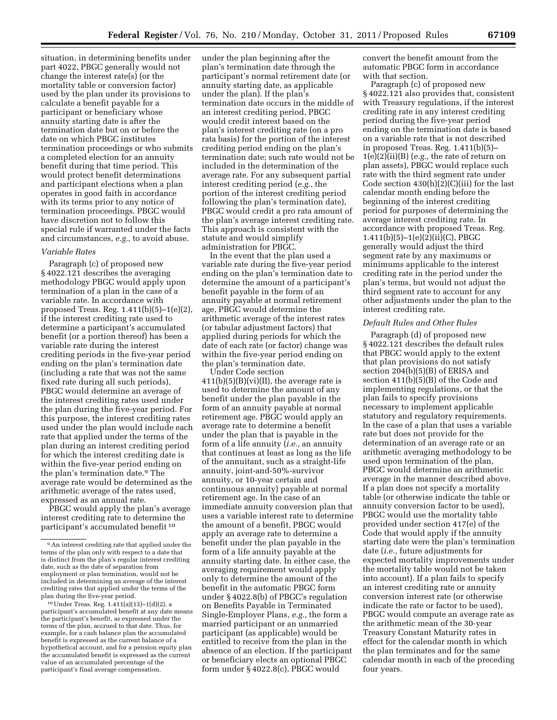situation, in determining benefits under part 4022, PBGC generally would not change the interest rate(s) (or the mortality table or conversion factor) used by the plan under its provisions to calculate a benefit payable for a participant or beneficiary whose annuity starting date is after the termination date but on or before the date on which PBGC institutes termination proceedings or who submits a completed election for an annuity benefit during that time period. This would protect benefit determinations and participant elections when a plan operates in good faith in accordance with its terms prior to any notice of termination proceedings. PBGC would have discretion not to follow this special rule if warranted under the facts and circumstances, *e.g.,* to avoid abuse.

## *Variable Rates*

Paragraph (c) of proposed new § 4022.121 describes the averaging methodology PBGC would apply upon termination of a plan in the case of a variable rate. In accordance with proposed Treas. Reg. 1.411(b)(5)–1(e)(2), if the interest crediting rate used to determine a participant's accumulated benefit (or a portion thereof) has been a variable rate during the interest crediting periods in the five-year period ending on the plan's termination date (including a rate that was not the same fixed rate during all such periods), PBGC would determine an average of the interest crediting rates used under the plan during the five-year period. For this purpose, the interest crediting rates used under the plan would include each rate that applied under the terms of the plan during an interest crediting period for which the interest crediting date is within the five-year period ending on the plan's termination date.9 The average rate would be determined as the arithmetic average of the rates used, expressed as an annual rate.

PBGC would apply the plan's average interest crediting rate to determine the participant's accumulated benefit 10

under the plan beginning after the plan's termination date through the participant's normal retirement date (or annuity starting date, as applicable under the plan). If the plan's termination date occurs in the middle of an interest crediting period, PBGC would credit interest based on the plan's interest crediting rate (on a pro rata basis) for the portion of the interest crediting period ending on the plan's termination date; such rate would not be included in the determination of the average rate. For any subsequent partial interest crediting period (*e.g.,* the portion of the interest crediting period following the plan's termination date), PBGC would credit a pro rata amount of the plan's average interest crediting rate. This approach is consistent with the statute and would simplify administration for PBGC.

In the event that the plan used a variable rate during the five-year period ending on the plan's termination date to determine the amount of a participant's benefit payable in the form of an annuity payable at normal retirement age, PBGC would determine the arithmetic average of the interest rates (or tabular adjustment factors) that applied during periods for which the date of each rate (or factor) change was within the five-year period ending on the plan's termination date. Under Code section

 $411(b)(5)(B)(vi)(II)$ , the average rate is used to determine the amount of any benefit under the plan payable in the form of an annuity payable at normal retirement age. PBGC would apply an average rate to determine a benefit under the plan that is payable in the form of a life annuity (*i.e.,* an annuity that continues at least as long as the life of the annuitant, such as a straight-life annuity, joint-and-50%-survivor annuity, or 10-year certain and continuous annuity) payable at normal retirement age. In the case of an immediate annuity conversion plan that uses a variable interest rate to determine the amount of a benefit, PBGC would apply an average rate to determine a benefit under the plan payable in the form of a life annuity payable at the annuity starting date. In either case, the averaging requirement would apply only to determine the amount of the benefit in the automatic PBGC form under § 4022.8(b) of PBGC's regulation on Benefits Payable in Terminated Single-Employer Plans, *e.g.,* the form a married participant or an unmarried participant (as applicable) would be entitled to receive from the plan in the absence of an election. If the participant or beneficiary elects an optional PBGC form under § 4022.8(c), PBGC would

convert the benefit amount from the automatic PBGC form in accordance with that section.

Paragraph (c) of proposed new § 4022.121 also provides that, consistent with Treasury regulations, if the interest crediting rate in any interest crediting period during the five-year period ending on the termination date is based on a variable rate that is not described in proposed Treas. Reg. 1.411(b)(5)– 1(e)(2)(ii)(B) (*e.g.,* the rate of return on plan assets), PBGC would replace such rate with the third segment rate under Code section  $430(h)(2)(C)(iii)$  for the last calendar month ending before the beginning of the interest crediting period for purposes of determining the average interest crediting rate. In accordance with proposed Treas. Reg. 1.411(b)(5)–1(e)(2)(ii)(C), PBGC generally would adjust the third segment rate by any maximums or minimums applicable to the interest crediting rate in the period under the plan's terms, but would not adjust the third segment rate to account for any other adjustments under the plan to the interest crediting rate.

## *Default Rules and Other Rules*

Paragraph (d) of proposed new § 4022.121 describes the default rules that PBGC would apply to the extent that plan provisions do not satisfy section 204(b)(5)(B) of ERISA and section 411(b)(5)(B) of the Code and implementing regulations, or that the plan fails to specify provisions necessary to implement applicable statutory and regulatory requirements. In the case of a plan that uses a variable rate but does not provide for the determination of an average rate or an arithmetic averaging methodology to be used upon termination of the plan, PBGC would determine an arithmetic average in the manner described above. If a plan does not specify a mortality table (or otherwise indicate the table or annuity conversion factor to be used), PBGC would use the mortality table provided under section 417(e) of the Code that would apply if the annuity starting date were the plan's termination date (*i.e.,* future adjustments for expected mortality improvements under the mortality table would not be taken into account). If a plan fails to specify an interest crediting rate or annuity conversion interest rate (or otherwise indicate the rate or factor to be used), PBGC would compute an average rate as the arithmetic mean of the 30-year Treasury Constant Maturity rates in effect for the calendar month in which the plan terminates and for the same calendar month in each of the preceding four years.

<sup>&</sup>lt;sup>9</sup> An interest crediting rate that applied under the terms of the plan only with respect to a date that is distinct from the plan's regular interest crediting date, such as the date of separation from employment or plan termination, would not be included in determining an average of the interest crediting rates that applied under the terms of the plan during the five-year period.

<sup>10</sup>Under Treas. Reg. 1.411(a)(13)–1(d)(2), a participant's accumulated benefit at any date means the participant's benefit, as expressed under the terms of the plan, accrued to that date. Thus, for example, for a cash balance plan the accumulated benefit is expressed as the current balance of a hypothetical account, and for a pension equity plan the accumulated benefit is expressed as the current value of an accumulated percentage of the participant's final average compensation.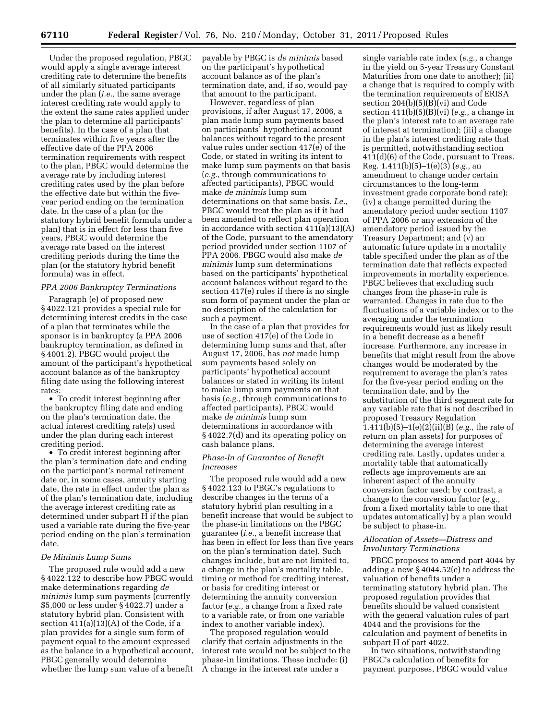Under the proposed regulation, PBGC would apply a single average interest crediting rate to determine the benefits of all similarly situated participants under the plan (*i.e.,* the same average interest crediting rate would apply to the extent the same rates applied under the plan to determine all participants' benefits). In the case of a plan that terminates within five years after the effective date of the PPA 2006 termination requirements with respect to the plan, PBGC would determine the average rate by including interest crediting rates used by the plan before the effective date but within the fiveyear period ending on the termination date. In the case of a plan (or the statutory hybrid benefit formula under a plan) that is in effect for less than five years, PBGC would determine the average rate based on the interest crediting periods during the time the plan (or the statutory hybrid benefit formula) was in effect.

#### *PPA 2006 Bankruptcy Terminations*

Paragraph (e) of proposed new § 4022.121 provides a special rule for determining interest credits in the case of a plan that terminates while the sponsor is in bankruptcy (a PPA 2006 bankruptcy termination, as defined in § 4001.2). PBGC would project the amount of the participant's hypothetical account balance as of the bankruptcy filing date using the following interest rates:

• To credit interest beginning after the bankruptcy filing date and ending on the plan's termination date, the actual interest crediting rate(s) used under the plan during each interest crediting period.

• To credit interest beginning after the plan's termination date and ending on the participant's normal retirement date or, in some cases, annuity starting date, the rate in effect under the plan as of the plan's termination date, including the average interest crediting rate as determined under subpart H if the plan used a variable rate during the five-year period ending on the plan's termination date.

#### *De Minimis Lump Sums*

The proposed rule would add a new § 4022.122 to describe how PBGC would make determinations regarding *de minimis* lump sum payments (currently \$5,000 or less under § 4022.7) under a statutory hybrid plan. Consistent with section 411(a)(13)(A) of the Code, if a plan provides for a single sum form of payment equal to the amount expressed as the balance in a hypothetical account, PBGC generally would determine whether the lump sum value of a benefit

payable by PBGC is *de minimis* based on the participant's hypothetical account balance as of the plan's termination date, and, if so, would pay that amount to the participant.

However, regardless of plan provisions, if after August 17, 2006, a plan made lump sum payments based on participants' hypothetical account balances without regard to the present value rules under section 417(e) of the Code, or stated in writing its intent to make lump sum payments on that basis (*e.g.,* through communications to affected participants), PBGC would make *de minimis* lump sum determinations on that same basis. *I.e.,*  PBGC would treat the plan as if it had been amended to reflect plan operation in accordance with section  $411(a)(13)(A)$ of the Code, pursuant to the amendatory period provided under section 1107 of PPA 2006. PBGC would also make *de minimis* lump sum determinations based on the participants' hypothetical account balances without regard to the section 417(e) rules if there is no single sum form of payment under the plan or no description of the calculation for such a payment.

In the case of a plan that provides for use of section 417(e) of the Code in determining lump sums and that, after August 17, 2006, has *not* made lump sum payments based solely on participants' hypothetical account balances or stated in writing its intent to make lump sum payments on that basis (*e.g.,* through communications to affected participants), PBGC would make *de minimis* lump sum determinations in accordance with § 4022.7(d) and its operating policy on cash balance plans.

#### *Phase-In of Guarantee of Benefit Increases*

The proposed rule would add a new § 4022.123 to PBGC's regulations to describe changes in the terms of a statutory hybrid plan resulting in a benefit increase that would be subject to the phase-in limitations on the PBGC guarantee (*i.e.,* a benefit increase that has been in effect for less than five years on the plan's termination date). Such changes include, but are not limited to, a change in the plan's mortality table, timing or method for crediting interest, or basis for crediting interest or determining the annuity conversion factor (*e.g.,* a change from a fixed rate to a variable rate, or from one variable index to another variable index).

The proposed regulation would clarify that certain adjustments in the interest rate would not be subject to the phase-in limitations. These include: (i) A change in the interest rate under a

single variable rate index (*e.g.,* a change in the yield on 5-year Treasury Constant Maturities from one date to another); (ii) a change that is required to comply with the termination requirements of ERISA section 204(b)(5)(B)(vi) and Code section 411(b)(5)(B)(vi) (*e.g.,* a change in the plan's interest rate to an average rate of interest at termination); (iii) a change in the plan's interest crediting rate that is permitted, notwithstanding section 411(d)(6) of the Code, pursuant to Treas. Reg. 1.411(b)(5)–1(e)(3) (*e.g.,* an amendment to change under certain circumstances to the long-term investment grade corporate bond rate); (iv) a change permitted during the amendatory period under section 1107 of PPA 2006 or any extension of the amendatory period issued by the Treasury Department; and (v) an automatic future update in a mortality table specified under the plan as of the termination date that reflects expected improvements in mortality experience. PBGC believes that excluding such changes from the phase-in rule is warranted. Changes in rate due to the fluctuations of a variable index or to the averaging under the termination requirements would just as likely result in a benefit decrease as a benefit increase. Furthermore, any increase in benefits that might result from the above changes would be moderated by the requirement to average the plan's rates for the five-year period ending on the termination date, and by the substitution of the third segment rate for any variable rate that is not described in proposed Treasury Regulation 1.411(b)(5)–1(e)(2)(ii)(B) (*e.g.,* the rate of return on plan assets) for purposes of determining the average interest crediting rate. Lastly, updates under a mortality table that automatically reflects age improvements are an inherent aspect of the annuity conversion factor used; by contrast, a change to the conversion factor (*e.g.,*  from a fixed mortality table to one that updates automatically) by a plan would be subject to phase-in.

## *Allocation of Assets—Distress and Involuntary Terminations*

PBGC proposes to amend part 4044 by adding a new § 4044.52(e) to address the valuation of benefits under a terminating statutory hybrid plan. The proposed regulation provides that benefits should be valued consistent with the general valuation rules of part 4044 and the provisions for the calculation and payment of benefits in subpart H of part 4022.

In two situations, notwithstanding PBGC's calculation of benefits for payment purposes, PBGC would value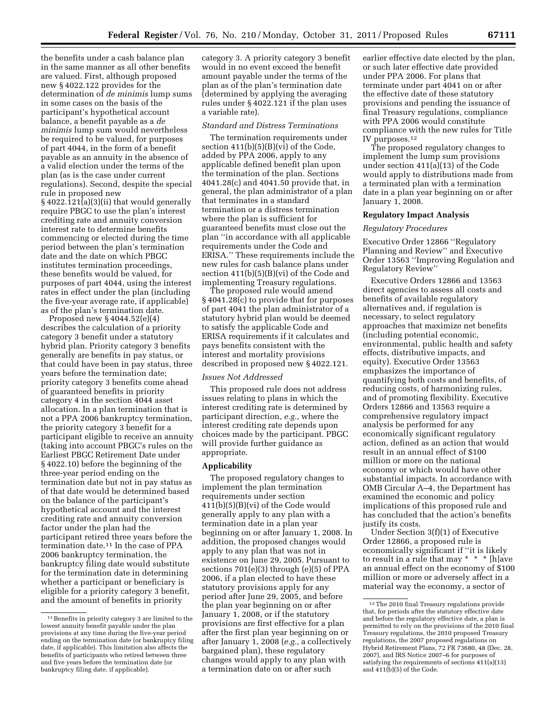the benefits under a cash balance plan in the same manner as all other benefits are valued. First, although proposed new § 4022.122 provides for the determination of *de minimis* lump sums in some cases on the basis of the participant's hypothetical account balance, a benefit payable as a *de minimis* lump sum would nevertheless be required to be valued, for purposes of part 4044, in the form of a benefit payable as an annuity in the absence of a valid election under the terms of the plan (as is the case under current regulations). Second, despite the special rule in proposed new § 4022.121(a)(3)(ii) that would generally

require PBGC to use the plan's interest crediting rate and annuity conversion interest rate to determine benefits commencing or elected during the time period between the plan's termination date and the date on which PBGC institutes termination proceedings, these benefits would be valued, for purposes of part 4044, using the interest rates in effect under the plan (including the five-year average rate, if applicable) as of the plan's termination date.

Proposed new § 4044.52(e)(4) describes the calculation of a priority category 3 benefit under a statutory hybrid plan. Priority category 3 benefits generally are benefits in pay status, or that could have been in pay status, three years before the termination date; priority category 3 benefits come ahead of guaranteed benefits in priority category 4 in the section 4044 asset allocation. In a plan termination that is not a PPA 2006 bankruptcy termination, the priority category 3 benefit for a participant eligible to receive an annuity (taking into account PBGC's rules on the Earliest PBGC Retirement Date under § 4022.10) before the beginning of the three-year period ending on the termination date but not in pay status as of that date would be determined based on the balance of the participant's hypothetical account and the interest crediting rate and annuity conversion factor under the plan had the participant retired three years before the termination date.11 In the case of PPA 2006 bankruptcy termination, the bankruptcy filing date would substitute for the termination date in determining whether a participant or beneficiary is eligible for a priority category 3 benefit, and the amount of benefits in priority

category 3. A priority category 3 benefit would in no event exceed the benefit amount payable under the terms of the plan as of the plan's termination date (determined by applying the averaging rules under § 4022.121 if the plan uses a variable rate).

## *Standard and Distress Terminations*

The termination requirements under section  $411(b)(5)(B)(vi)$  of the Code, added by PPA 2006, apply to any applicable defined benefit plan upon the termination of the plan. Sections 4041.28(c) and 4041.50 provide that, in general, the plan administrator of a plan that terminates in a standard termination or a distress termination where the plan is sufficient for guaranteed benefits must close out the plan ''in accordance with all applicable requirements under the Code and ERISA.'' These requirements include the new rules for cash balance plans under section 411(b)(5)(B)(vi) of the Code and implementing Treasury regulations.

The proposed rule would amend § 4041.28(c) to provide that for purposes of part 4041 the plan administrator of a statutory hybrid plan would be deemed to satisfy the applicable Code and ERISA requirements if it calculates and pays benefits consistent with the interest and mortality provisions described in proposed new § 4022.121.

## *Issues Not Addressed*

This proposed rule does not address issues relating to plans in which the interest crediting rate is determined by participant direction, *e.g.,* where the interest crediting rate depends upon choices made by the participant. PBGC will provide further guidance as appropriate.

## **Applicability**

The proposed regulatory changes to implement the plan termination requirements under section 411(b)(5)(B)(vi) of the Code would generally apply to any plan with a termination date in a plan year beginning on or after January 1, 2008. In addition, the proposed changes would apply to any plan that was not in existence on June 29, 2005. Pursuant to sections 701(e)(3) through (e)(5) of PPA 2006, if a plan elected to have these statutory provisions apply for any period after June 29, 2005, and before the plan year beginning on or after January 1, 2008, or if the statutory provisions are first effective for a plan after the first plan year beginning on or after January 1, 2008 (*e.g.,* a collectively bargained plan), these regulatory changes would apply to any plan with a termination date on or after such

earlier effective date elected by the plan, or such later effective date provided under PPA 2006. For plans that terminate under part 4041 on or after the effective date of these statutory provisions and pending the issuance of final Treasury regulations, compliance with PPA 2006 would constitute compliance with the new rules for Title IV purposes.12

The proposed regulatory changes to implement the lump sum provisions under section 411(a)(13) of the Code would apply to distributions made from a terminated plan with a termination date in a plan year beginning on or after January 1, 2008.

#### **Regulatory Impact Analysis**

## *Regulatory Procedures*

Executive Order 12866 ''Regulatory Planning and Review'' and Executive Order 13563 ''Improving Regulation and Regulatory Review''

Executive Orders 12866 and 13563 direct agencies to assess all costs and benefits of available regulatory alternatives and, if regulation is necessary, to select regulatory approaches that maximize net benefits (including potential economic, environmental, public health and safety effects, distributive impacts, and equity). Executive Order 13563 emphasizes the importance of quantifying both costs and benefits, of reducing costs, of harmonizing rules, and of promoting flexibility. Executive Orders 12866 and 13563 require a comprehensive regulatory impact analysis be performed for any economically significant regulatory action, defined as an action that would result in an annual effect of \$100 million or more on the national economy or which would have other substantial impacts. In accordance with OMB Circular A–4, the Department has examined the economic and policy implications of this proposed rule and has concluded that the action's benefits justify its costs.

Under Section 3(f)(1) of Executive Order 12866, a proposed rule is economically significant if ''it is likely to result in a rule that may \* \* \* [h]ave an annual effect on the economy of \$100 million or more or adversely affect in a material way the economy, a sector of

<sup>&</sup>lt;sup>11</sup> Benefits in priority category 3 are limited to the lowest annuity benefit payable under the plan provisions at any time during the five-year period ending on the termination date (or bankruptcy filing date, if applicable). This limitation also affects the benefits of participants who retired between three and five years before the termination date (or bankruptcy filing date, if applicable).

<sup>12</sup>The 2010 final Treasury regulations provide that, for periods after the statutory effective date and before the regulatory effective date, a plan is permitted to rely on the provisions of the 2010 final Treasury regulations, the 2010 proposed Treasury regulations, the 2007 proposed regulations on Hybrid Retirement Plans, 72 FR 73680, 48 (Dec. 28, 2007), and IRS Notice 2007–6 for purposes of satisfying the requirements of sections 411(a)(13) and  $411(b)(5)$  of the Code.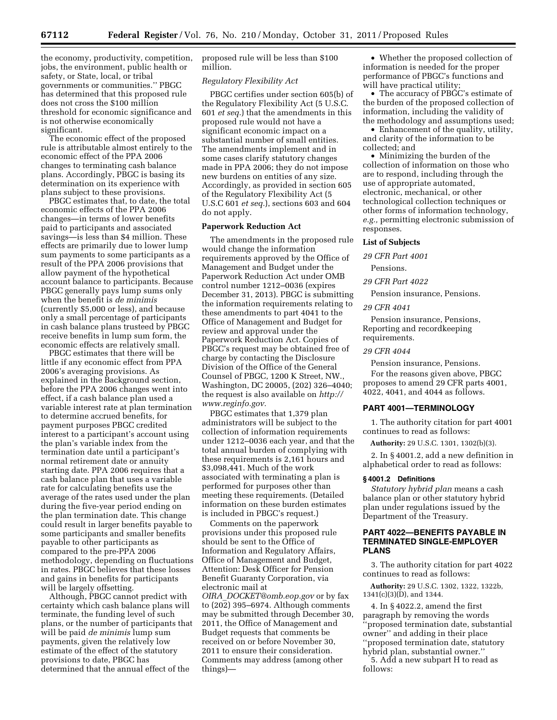the economy, productivity, competition, jobs, the environment, public health or safety, or State, local, or tribal governments or communities.'' PBGC has determined that this proposed rule does not cross the \$100 million threshold for economic significance and is not otherwise economically significant.

The economic effect of the proposed rule is attributable almost entirely to the economic effect of the PPA 2006 changes to terminating cash balance plans. Accordingly, PBGC is basing its determination on its experience with plans subject to these provisions.

PBGC estimates that, to date, the total economic effects of the PPA 2006 changes—in terms of lower benefits paid to participants and associated savings—is less than \$4 million. These effects are primarily due to lower lump sum payments to some participants as a result of the PPA 2006 provisions that allow payment of the hypothetical account balance to participants. Because PBGC generally pays lump sums only when the benefit is *de minimis*  (currently \$5,000 or less), and because only a small percentage of participants in cash balance plans trusteed by PBGC receive benefits in lump sum form, the economic effects are relatively small.

PBGC estimates that there will be little if any economic effect from PPA 2006's averaging provisions. As explained in the Background section, before the PPA 2006 changes went into effect, if a cash balance plan used a variable interest rate at plan termination to determine accrued benefits, for payment purposes PBGC credited interest to a participant's account using the plan's variable index from the termination date until a participant's normal retirement date or annuity starting date. PPA 2006 requires that a cash balance plan that uses a variable rate for calculating benefits use the average of the rates used under the plan during the five-year period ending on the plan termination date. This change could result in larger benefits payable to some participants and smaller benefits payable to other participants as compared to the pre-PPA 2006 methodology, depending on fluctuations in rates. PBGC believes that these losses and gains in benefits for participants will be largely offsetting.

Although, PBGC cannot predict with certainty which cash balance plans will terminate, the funding level of such plans, or the number of participants that will be paid *de minimis* lump sum payments, given the relatively low estimate of the effect of the statutory provisions to date, PBGC has determined that the annual effect of the

proposed rule will be less than \$100 million.

#### *Regulatory Flexibility Act*

PBGC certifies under section 605(b) of the Regulatory Flexibility Act (5 U.S.C. 601 *et seq.*) that the amendments in this proposed rule would not have a significant economic impact on a substantial number of small entities. The amendments implement and in some cases clarify statutory changes made in PPA 2006; they do not impose new burdens on entities of any size. Accordingly, as provided in section 605 of the Regulatory Flexibility Act (5 U.S.C 601 *et seq.*), sections 603 and 604 do not apply.

## **Paperwork Reduction Act**

The amendments in the proposed rule would change the information requirements approved by the Office of Management and Budget under the Paperwork Reduction Act under OMB control number 1212–0036 (expires December 31, 2013). PBGC is submitting the information requirements relating to these amendments to part 4041 to the Office of Management and Budget for review and approval under the Paperwork Reduction Act. Copies of PBGC's request may be obtained free of charge by contacting the Disclosure Division of the Office of the General Counsel of PBGC, 1200 K Street, NW., Washington, DC 20005, (202) 326–4040; the request is also available on *[http://](http://www.reginfo.gov) [www.reginfo.gov.](http://www.reginfo.gov)* 

PBGC estimates that 1,379 plan administrators will be subject to the collection of information requirements under 1212–0036 each year, and that the total annual burden of complying with these requirements is 2,161 hours and \$3,098,441. Much of the work associated with terminating a plan is performed for purposes other than meeting these requirements. (Detailed information on these burden estimates is included in PBGC's request.)

Comments on the paperwork provisions under this proposed rule should be sent to the Office of Information and Regulatory Affairs, Office of Management and Budget, Attention: Desk Officer for Pension Benefit Guaranty Corporation, via electronic mail at

*OIRA*\_*[DOCKET@omb.eop.gov](mailto:OIRA_DOCKET@omb.eop.gov)* or by fax to (202) 395–6974. Although comments may be submitted through December 30, 2011, the Office of Management and Budget requests that comments be received on or before November 30, 2011 to ensure their consideration. Comments may address (among other things)—

• Whether the proposed collection of information is needed for the proper performance of PBGC's functions and will have practical utility;

• The accuracy of PBGC's estimate of the burden of the proposed collection of information, including the validity of the methodology and assumptions used;

• Enhancement of the quality, utility, and clarity of the information to be collected; and

• Minimizing the burden of the collection of information on those who are to respond, including through the use of appropriate automated, electronic, mechanical, or other technological collection techniques or other forms of information technology, *e.g.,* permitting electronic submission of responses.

## **List of Subjects**

*29 CFR Part 4001* 

Pensions.

*29 CFR Part 4022* 

Pension insurance, Pensions.

#### *29 CFR 4041*

Pension insurance, Pensions, Reporting and recordkeeping requirements.

#### *29 CFR 4044*

Pension insurance, Pensions. For the reasons given above, PBGC proposes to amend 29 CFR parts 4001, 4022, 4041, and 4044 as follows.

#### **PART 4001—TERMINOLOGY**

1. The authority citation for part 4001 continues to read as follows:

**Authority:** 29 U.S.C. 1301, 1302(b)(3).

2. In § 4001.2, add a new definition in alphabetical order to read as follows:

## **§ 4001.2 Definitions**

*Statutory hybrid plan* means a cash balance plan or other statutory hybrid plan under regulations issued by the Department of the Treasury.

## **PART 4022—BENEFITS PAYABLE IN TERMINATED SINGLE-EMPLOYER PLANS**

3. The authority citation for part 4022 continues to read as follows:

**Authority:** 29 U.S.C. 1302, 1322, 1322b, 1341(c)(3)(D), and 1344.

4. In § 4022.2, amend the first paragraph by removing the words 'proposed termination date, substantial owner'' and adding in their place ''proposed termination date, statutory hybrid plan, substantial owner.''

5. Add a new subpart H to read as follows: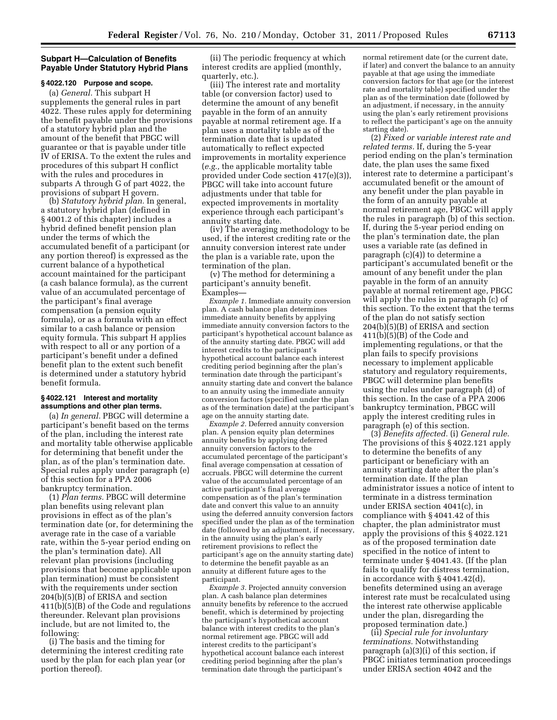## **Subpart H—Calculation of Benefits Payable Under Statutory Hybrid Plans**

## **§ 4022.120 Purpose and scope.**

(a) *General.* This subpart H supplements the general rules in part 4022. These rules apply for determining the benefit payable under the provisions of a statutory hybrid plan and the amount of the benefit that PBGC will guarantee or that is payable under title IV of ERISA. To the extent the rules and procedures of this subpart H conflict with the rules and procedures in subparts A through G of part 4022, the provisions of subpart H govern.

(b) *Statutory hybrid plan.* In general, a statutory hybrid plan (defined in § 4001.2 of this chapter) includes a hybrid defined benefit pension plan under the terms of which the accumulated benefit of a participant (or any portion thereof) is expressed as the current balance of a hypothetical account maintained for the participant (a cash balance formula), as the current value of an accumulated percentage of the participant's final average compensation (a pension equity formula), or as a formula with an effect similar to a cash balance or pension equity formula. This subpart H applies with respect to all or any portion of a participant's benefit under a defined benefit plan to the extent such benefit is determined under a statutory hybrid benefit formula.

#### **§ 4022.121 Interest and mortality assumptions and other plan terms.**

(a) *In general.* PBGC will determine a participant's benefit based on the terms of the plan, including the interest rate and mortality table otherwise applicable for determining that benefit under the plan, as of the plan's termination date. Special rules apply under paragraph (e) of this section for a PPA 2006 bankruptcy termination.

(1) *Plan terms.* PBGC will determine plan benefits using relevant plan provisions in effect as of the plan's termination date (or, for determining the average rate in the case of a variable rate, within the 5-year period ending on the plan's termination date). All relevant plan provisions (including provisions that become applicable upon plan termination) must be consistent with the requirements under section 204(b)(5)(B) of ERISA and section 411(b)(5)(B) of the Code and regulations thereunder. Relevant plan provisions include, but are not limited to, the following:

(i) The basis and the timing for determining the interest crediting rate used by the plan for each plan year (or portion thereof).

(ii) The periodic frequency at which interest credits are applied (monthly, quarterly, etc.).

(iii) The interest rate and mortality table (or conversion factor) used to determine the amount of any benefit payable in the form of an annuity payable at normal retirement age. If a plan uses a mortality table as of the termination date that is updated automatically to reflect expected improvements in mortality experience (*e.g.,* the applicable mortality table provided under Code section 417(e)(3)), PBGC will take into account future adjustments under that table for expected improvements in mortality experience through each participant's annuity starting date.

(iv) The averaging methodology to be used, if the interest crediting rate or the annuity conversion interest rate under the plan is a variable rate, upon the termination of the plan.

(v) The method for determining a participant's annuity benefit. Examples—

*Example 1.* Immediate annuity conversion plan. A cash balance plan determines immediate annuity benefits by applying immediate annuity conversion factors to the participant's hypothetical account balance as of the annuity starting date. PBGC will add interest credits to the participant's hypothetical account balance each interest crediting period beginning after the plan's termination date through the participant's annuity starting date and convert the balance to an annuity using the immediate annuity conversion factors (specified under the plan as of the termination date) at the participant's age on the annuity starting date.

*Example 2.* Deferred annuity conversion plan. A pension equity plan determines annuity benefits by applying deferred annuity conversion factors to the accumulated percentage of the participant's final average compensation at cessation of accruals. PBGC will determine the current value of the accumulated percentage of an active participant's final average compensation as of the plan's termination date and convert this value to an annuity using the deferred annuity conversion factors specified under the plan as of the termination date (followed by an adjustment, if necessary, in the annuity using the plan's early retirement provisions to reflect the participant's age on the annuity starting date) to determine the benefit payable as an annuity at different future ages to the participant.

*Example 3.* Projected annuity conversion plan. A cash balance plan determines annuity benefits by reference to the accrued benefit, which is determined by projecting the participant's hypothetical account balance with interest credits to the plan's normal retirement age. PBGC will add interest credits to the participant's hypothetical account balance each interest crediting period beginning after the plan's termination date through the participant's

normal retirement date (or the current date, if later) and convert the balance to an annuity payable at that age using the immediate conversion factors for that age (or the interest rate and mortality table) specified under the plan as of the termination date (followed by an adjustment, if necessary, in the annuity using the plan's early retirement provisions to reflect the participant's age on the annuity starting date).

(2) *Fixed or variable interest rate and related terms.* If, during the 5-year period ending on the plan's termination date, the plan uses the same fixed interest rate to determine a participant's accumulated benefit or the amount of any benefit under the plan payable in the form of an annuity payable at normal retirement age, PBGC will apply the rules in paragraph (b) of this section. If, during the 5-year period ending on the plan's termination date, the plan uses a variable rate (as defined in paragraph (c)(4)) to determine a participant's accumulated benefit or the amount of any benefit under the plan payable in the form of an annuity payable at normal retirement age, PBGC will apply the rules in paragraph (c) of this section. To the extent that the terms of the plan do not satisfy section 204(b)(5)(B) of ERISA and section 411(b)(5)(B) of the Code and implementing regulations, or that the plan fails to specify provisions necessary to implement applicable statutory and regulatory requirements, PBGC will determine plan benefits using the rules under paragraph (d) of this section. In the case of a PPA 2006 bankruptcy termination, PBGC will apply the interest crediting rules in paragraph (e) of this section.

(3) *Benefits affected.* (i) *General rule.*  The provisions of this § 4022.121 apply to determine the benefits of any participant or beneficiary with an annuity starting date after the plan's termination date. If the plan administrator issues a notice of intent to terminate in a distress termination under ERISA section 4041(c), in compliance with § 4041.42 of this chapter, the plan administrator must apply the provisions of this § 4022.121 as of the proposed termination date specified in the notice of intent to terminate under § 4041.43. (If the plan fails to qualify for distress termination, in accordance with § 4041.42(d), benefits determined using an average interest rate must be recalculated using the interest rate otherwise applicable under the plan, disregarding the proposed termination date.)

(ii) *Special rule for involuntary terminations.* Notwithstanding paragraph (a)(3)(i) of this section, if PBGC initiates termination proceedings under ERISA section 4042 and the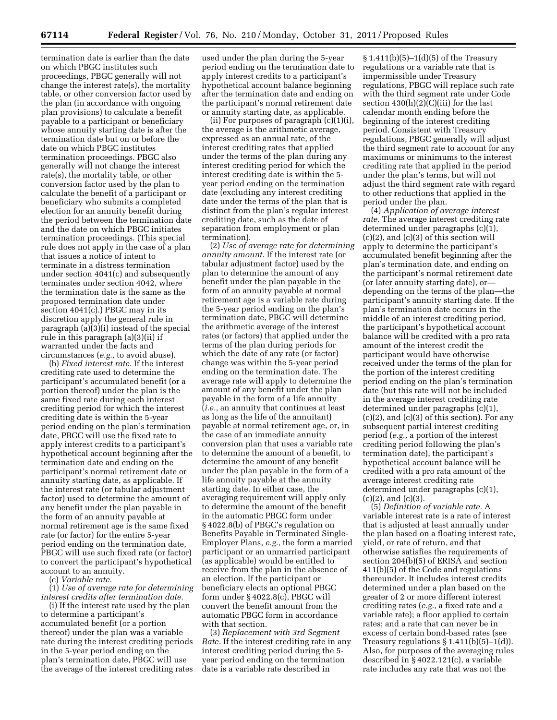termination date is earlier than the date on which PBGC institutes such proceedings, PBGC generally will not change the interest rate(s), the mortality table, or other conversion factor used by the plan (in accordance with ongoing plan provisions) to calculate a benefit payable to a participant or beneficiary whose annuity starting date is after the termination date but on or before the date on which PBGC institutes termination proceedings. PBGC also generally will not change the interest rate(s), the mortality table, or other conversion factor used by the plan to calculate the benefit of a participant or beneficiary who submits a completed election for an annuity benefit during the period between the termination date and the date on which PBGC initiates termination proceedings. (This special rule does not apply in the case of a plan that issues a notice of intent to terminate in a distress termination under section 4041(c) and subsequently terminates under section 4042, where the termination date is the same as the proposed termination date under section 4041(c).) PBGC may in its discretion apply the general rule in paragraph (a)(3)(i) instead of the special rule in this paragraph (a)(3)(ii) if warranted under the facts and circumstances (*e.g.,* to avoid abuse).

(b) *Fixed interest rate.* If the interest crediting rate used to determine the participant's accumulated benefit (or a portion thereof) under the plan is the same fixed rate during each interest crediting period for which the interest crediting date is within the 5-year period ending on the plan's termination date, PBGC will use the fixed rate to apply interest credits to a participant's hypothetical account beginning after the termination date and ending on the participant's normal retirement date or annuity starting date, as applicable. If the interest rate (or tabular adjustment factor) used to determine the amount of any benefit under the plan payable in the form of an annuity payable at normal retirement age is the same fixed rate (or factor) for the entire 5-year period ending on the termination date, PBGC will use such fixed rate (or factor) to convert the participant's hypothetical account to an annuity.

(c) *Variable rate.* 

(1) *Use of average rate for determining interest credits after termination date.* 

(i) If the interest rate used by the plan to determine a participant's accumulated benefit (or a portion thereof) under the plan was a variable rate during the interest crediting periods in the 5-year period ending on the plan's termination date, PBGC will use the average of the interest crediting rates

used under the plan during the 5-year period ending on the termination date to apply interest credits to a participant's hypothetical account balance beginning after the termination date and ending on the participant's normal retirement date or annuity starting date, as applicable.

(ii) For purposes of paragraph (c)(1)(i), the average is the arithmetic average, expressed as an annual rate, of the interest crediting rates that applied under the terms of the plan during any interest crediting period for which the interest crediting date is within the 5 year period ending on the termination date (excluding any interest crediting date under the terms of the plan that is distinct from the plan's regular interest crediting date, such as the date of separation from employment or plan termination).

(2) *Use of average rate for determining annuity amount.* If the interest rate (or tabular adjustment factor) used by the plan to determine the amount of any benefit under the plan payable in the form of an annuity payable at normal retirement age is a variable rate during the 5-year period ending on the plan's termination date, PBGC will determine the arithmetic average of the interest rates (or factors) that applied under the terms of the plan during periods for which the date of any rate (or factor) change was within the 5-year period ending on the termination date. The average rate will apply to determine the amount of any benefit under the plan payable in the form of a life annuity (*i.e.,* an annuity that continues at least as long as the life of the annuitant) payable at normal retirement age, or, in the case of an immediate annuity conversion plan that uses a variable rate to determine the amount of a benefit, to determine the amount of any benefit under the plan payable in the form of a life annuity payable at the annuity starting date. In either case, the averaging requirement will apply only to determine the amount of the benefit in the automatic PBGC form under § 4022.8(b) of PBGC's regulation on Benefits Payable in Terminated Single-Employer Plans, *e.g.,* the form a married participant or an unmarried participant (as applicable) would be entitled to receive from the plan in the absence of an election. If the participant or beneficiary elects an optional PBGC form under § 4022.8(c), PBGC will convert the benefit amount from the automatic PBGC form in accordance with that section.

(3) *Replacement with 3rd Segment Rate.* If the interest crediting rate in any interest crediting period during the 5 year period ending on the termination date is a variable rate described in

§ 1.411(b)(5)–1(d)(5) of the Treasury regulations or a variable rate that is impermissible under Treasury regulations, PBGC will replace such rate with the third segment rate under Code section  $430(h)(2)(C)(iii)$  for the last calendar month ending before the beginning of the interest crediting period. Consistent with Treasury regulations, PBGC generally will adjust the third segment rate to account for any maximums or minimums to the interest crediting rate that applied in the period under the plan's terms, but will not adjust the third segment rate with regard to other reductions that applied in the period under the plan.

(4) *Application of average interest rate.* The average interest crediting rate determined under paragraphs (c)(1),  $(c)(2)$ , and  $(c)(3)$  of this section will apply to determine the participant's accumulated benefit beginning after the plan's termination date, and ending on the participant's normal retirement date (or later annuity starting date), or depending on the terms of the plan—the participant's annuity starting date. If the plan's termination date occurs in the middle of an interest crediting period, the participant's hypothetical account balance will be credited with a pro rata amount of the interest credit the participant would have otherwise received under the terms of the plan for the portion of the interest crediting period ending on the plan's termination date (but this rate will not be included in the average interest crediting rate determined under paragraphs (c)(1), (c)(2), and (c)(3) of this section). For any subsequent partial interest crediting period (*e.g.,* a portion of the interest crediting period following the plan's termination date), the participant's hypothetical account balance will be credited with a pro rata amount of the average interest crediting rate determined under paragraphs (c)(1),  $(c)(2)$ , and  $(c)(3)$ .

(5) *Definition of variable rate.* A variable interest rate is a rate of interest that is adjusted at least annually under the plan based on a floating interest rate, yield, or rate of return, and that otherwise satisfies the requirements of section 204(b)(5) of ERISA and section 411(b)(5) of the Code and regulations thereunder. It includes interest credits determined under a plan based on the greater of 2 or more different interest crediting rates (*e.g.,* a fixed rate and a variable rate); a floor applied to certain rates; and a rate that can never be in excess of certain bond-based rates (see Treasury regulations  $\S 1.411(b)(5)-1(d)$ . Also, for purposes of the averaging rules described in § 4022.121(c), a variable rate includes any rate that was not the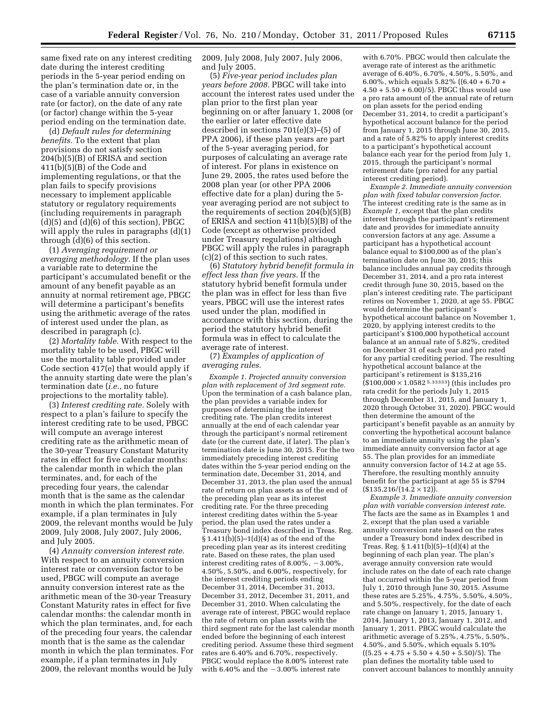same fixed rate on any interest crediting date during the interest crediting periods in the 5-year period ending on the plan's termination date or, in the case of a variable annuity conversion rate (or factor), on the date of any rate (or factor) change within the 5-year period ending on the termination date.

(d) *Default rules for determining benefits.* To the extent that plan provisions do not satisfy section 204(b)(5)(B) of ERISA and section 411(b)(5)(B) of the Code and implementing regulations, or that the plan fails to specify provisions necessary to implement applicable statutory or regulatory requirements (including requirements in paragraph  $(d)(5)$  and  $(d)(6)$  of this section), PBGC will apply the rules in paragraphs (d)(1) through (d)(6) of this section.

(1) *Averaging requirement or averaging methodology.* If the plan uses a variable rate to determine the participant's accumulated benefit or the amount of any benefit payable as an annuity at normal retirement age, PBGC will determine a participant's benefits using the arithmetic average of the rates of interest used under the plan, as described in paragraph (c).

(2) *Mortality table.* With respect to the mortality table to be used, PBGC will use the mortality table provided under Code section 417(e) that would apply if the annuity starting date were the plan's termination date (*i.e.,* no future projections to the mortality table).

(3) *Interest crediting rate.* Solely with respect to a plan's failure to specify the interest crediting rate to be used, PBGC will compute an average interest crediting rate as the arithmetic mean of the 30-year Treasury Constant Maturity rates in effect for five calendar months: the calendar month in which the plan terminates, and, for each of the preceding four years, the calendar month that is the same as the calendar month in which the plan terminates. For example, if a plan terminates in July 2009, the relevant months would be July 2009, July 2008, July 2007, July 2006, and July 2005.

(4) *Annuity conversion interest rate.*  With respect to an annuity conversion interest rate or conversion factor to be used, PBGC will compute an average annuity conversion interest rate as the arithmetic mean of the 30-year Treasury Constant Maturity rates in effect for five calendar months: the calendar month in which the plan terminates, and, for each of the preceding four years, the calendar month that is the same as the calendar month in which the plan terminates. For example, if a plan terminates in July 2009, the relevant months would be July 2009, July 2008, July 2007, July 2006, and July 2005.

(5) *Five-year period includes plan years before 2008.* PBGC will take into account the interest rates used under the plan prior to the first plan year beginning on or after January 1, 2008 (or the earlier or later effective date described in sections 701(e)(3)–(5) of PPA 2006), if these plan years are part of the 5-year averaging period, for purposes of calculating an average rate of interest. For plans in existence on June 29, 2005, the rates used before the 2008 plan year (or other PPA 2006 effective date for a plan) during the 5 year averaging period are not subject to the requirements of section 204(b)(5)(B) of ERISA and section 411(b)(5)(B) of the Code (except as otherwise provided under Treasury regulations) although PBGC will apply the rules in paragraph (c)(2) of this section to such rates.

(6) *Statutory hybrid benefit formula in effect less than five years.* If the statutory hybrid benefit formula under the plan was in effect for less than five years, PBGC will use the interest rates used under the plan, modified in accordance with this section, during the period the statutory hybrid benefit formula was in effect to calculate the average rate of interest.

(7) *Examples of application of averaging rules.* 

*Example 1. Projected annuity conversion plan with replacement of 3rd segment rate.*  Upon the termination of a cash balance plan, the plan provides a variable index for purposes of determining the interest crediting rate. The plan credits interest annually at the end of each calendar year through the participant's normal retirement date (or the current date, if later). The plan's termination date is June 30, 2015. For the two immediately preceding interest crediting dates within the 5-year period ending on the termination date, December 31, 2014, and December 31, 2013, the plan used the annual rate of return on plan assets as of the end of the preceding plan year as its interest crediting rate. For the three preceding interest crediting dates within the 5-year period, the plan used the rates under a Treasury bond index described in Treas. Reg. § 1.411(b)(5)–1(d)(4) as of the end of the preceding plan year as its interest crediting rate. Based on these rates, the plan used interest crediting rates of 8.00%,  $-3.00\%$ , 4.50%, 5.50%, and 6.00%, respectively, for the interest crediting periods ending December 31, 2014, December 31, 2013, December 31, 2012, December 31, 2011, and December 31, 2010. When calculating the average rate of interest, PBGC would replace the rate of return on plan assets with the third segment rate for the last calendar month ended before the beginning of each interest crediting period. Assume these third segment rates are 6.40% and 6.70%, respectively. PBGC would replace the 8.00% interest rate with 6.40% and the  $-3.00\%$  interest rate

with 6.70%. PBGC would then calculate the average rate of interest as the arithmetic average of 6.40%, 6.70%, 4.50%, 5.50%, and 6.00%, which equals  $5.82\%$  ((6.40 + 6.70 +  $4.50 + 5.50 + 6.00/5$ ). PBGC thus would use a pro rata amount of the annual rate of return on plan assets for the period ending December 31, 2014, to credit a participant's hypothetical account balance for the period from January 1, 2015 through June 30, 2015, and a rate of 5.82% to apply interest credits to a participant's hypothetical account balance each year for the period from July 1, 2015, through the participant's normal retirement date (pro rated for any partial interest crediting period).

*Example 2. Immediate annuity conversion plan with fixed tabular conversion factor.*  The interest crediting rate is the same as in *Example 1,* except that the plan credits interest through the participant's retirement date and provides for immediate annuity conversion factors at any age. Assume a participant has a hypothetical account balance equal to \$100,000 as of the plan's termination date on June 30, 2015; this balance includes annual pay credits through December 31, 2014, and a pro rata interest credit through June 30, 2015, based on the plan's interest crediting rate. The participant retires on November 1, 2020, at age 55. PBGC would determine the participant's hypothetical account balance on November 1, 2020, by applying interest credits to the participant's \$100,000 hypothetical account balance at an annual rate of 5.82%, credited on December 31 of each year and pro rated for any partial crediting period. The resulting hypothetical account balance at the participant's retirement is \$135,216  $($100,000 \times 1.0582^{5.33333})$  (this includes pro rata credit for the periods July 1, 2015 through December 31, 2015, and January 1, 2020 through October 31, 2020). PBGC would then determine the amount of the participant's benefit payable as an annuity by converting the hypothetical account balance to an immediate annuity using the plan's immediate annuity conversion factor at age 55. The plan provides for an immediate annuity conversion factor of 14.2 at age 55. Therefore, the resulting monthly annuity benefit for the participant at age 55 is \$794  $$135,216/(14.2 \times 12)$ .

*Example 3. Immediate annuity conversion plan with variable conversion interest rate.*  The facts are the same as in Examples 1 and 2, except that the plan used a variable annuity conversion rate based on the rates under a Treasury bond index described in Treas. Reg. § 1.411(b)(5)–1(d)(4) at the beginning of each plan year. The plan's average annuity conversion rate would include rates on the date of each rate change that occurred within the 5-year period from July 1, 2010 through June 30, 2015. Assume these rates are 5.25%, 4.75%, 5.50%, 4.50%, and 5.50%, respectively, for the date of each rate change on January 1, 2015, January 1, 2014, January 1, 2013, January 1, 2012, and January 1, 2011. PBGC would calculate the arithmetic average of 5.25%, 4.75%, 5.50%, 4.50%, and 5.50%, which equals 5.10%  $((5.25 + 4.75 + 5.50 + 4.50 + 5.50)/5)$ . The plan defines the mortality table used to convert account balances to monthly annuity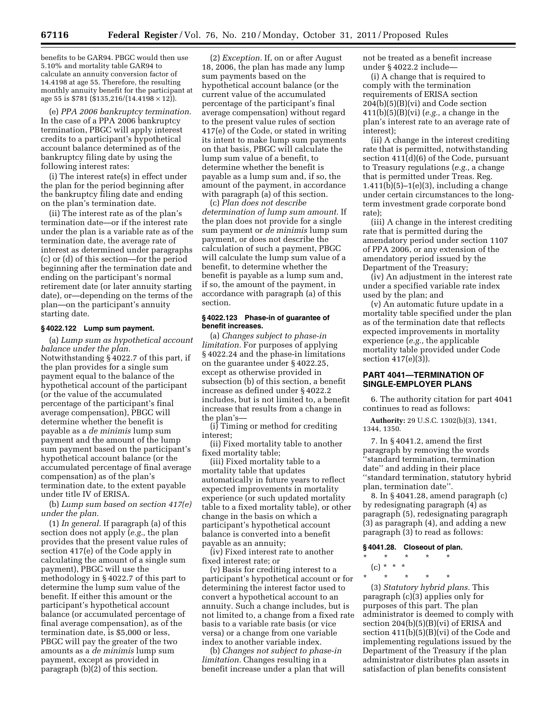benefits to be GAR94. PBGC would then use 5.10% and mortality table GAR94 to calculate an annuity conversion factor of 14.4198 at age 55. Therefore, the resulting monthly annuity benefit for the participant at age 55 is \$781 (\$135,216/(14.4198  $\times$  12)).

(e) *PPA 2006 bankruptcy termination.*  In the case of a PPA 2006 bankruptcy termination, PBGC will apply interest credits to a participant's hypothetical account balance determined as of the bankruptcy filing date by using the following interest rates:

(i) The interest rate(s) in effect under the plan for the period beginning after the bankruptcy filing date and ending on the plan's termination date.

(ii) The interest rate as of the plan's termination date—or if the interest rate under the plan is a variable rate as of the termination date, the average rate of interest as determined under paragraphs (c) or (d) of this section—for the period beginning after the termination date and ending on the participant's normal retirement date (or later annuity starting date), or—depending on the terms of the plan—on the participant's annuity starting date.

## **§ 4022.122 Lump sum payment.**

(a) *Lump sum as hypothetical account balance under the plan.*  Notwithstanding § 4022.7 of this part, if the plan provides for a single sum payment equal to the balance of the hypothetical account of the participant (or the value of the accumulated percentage of the participant's final average compensation), PBGC will determine whether the benefit is payable as a *de minimis* lump sum payment and the amount of the lump sum payment based on the participant's hypothetical account balance (or the accumulated percentage of final average compensation) as of the plan's termination date, to the extent payable under title IV of ERISA.

(b) *Lump sum based on section 417(e) under the plan.* 

(1) *In general.* If paragraph (a) of this section does not apply (*e.g.,* the plan provides that the present value rules of section 417(e) of the Code apply in calculating the amount of a single sum payment), PBGC will use the methodology in § 4022.7 of this part to determine the lump sum value of the benefit. If either this amount or the participant's hypothetical account balance (or accumulated percentage of final average compensation), as of the termination date, is \$5,000 or less, PBGC will pay the greater of the two amounts as a *de minimis* lump sum payment, except as provided in paragraph (b)(2) of this section.

(2) *Exception.* If, on or after August 18, 2006, the plan has made any lump sum payments based on the hypothetical account balance (or the current value of the accumulated percentage of the participant's final average compensation) without regard to the present value rules of section 417(e) of the Code, or stated in writing its intent to make lump sum payments on that basis, PBGC will calculate the lump sum value of a benefit, to determine whether the benefit is payable as a lump sum and, if so, the amount of the payment, in accordance with paragraph (a) of this section.

(c) *Plan does not describe determination of lump sum amount.* If the plan does not provide for a single sum payment or *de minimis* lump sum payment, or does not describe the calculation of such a payment, PBGC will calculate the lump sum value of a benefit, to determine whether the benefit is payable as a lump sum and, if so, the amount of the payment, in accordance with paragraph (a) of this section.

#### **§ 4022.123 Phase-in of guarantee of benefit increases.**

(a) *Changes subject to phase-in limitation.* For purposes of applying § 4022.24 and the phase-in limitations on the guarantee under § 4022.25, except as otherwise provided in subsection (b) of this section, a benefit increase as defined under § 4022.2 includes, but is not limited to, a benefit increase that results from a change in the plan's—

(i) Timing or method for crediting interest;

(ii) Fixed mortality table to another fixed mortality table;

(iii) Fixed mortality table to a mortality table that updates automatically in future years to reflect expected improvements in mortality experience (or such updated mortality table to a fixed mortality table), or other change in the basis on which a participant's hypothetical account balance is converted into a benefit payable as an annuity;

(iv) Fixed interest rate to another fixed interest rate; or

(v) Basis for crediting interest to a participant's hypothetical account or for determining the interest factor used to convert a hypothetical account to an annuity. Such a change includes, but is not limited to, a change from a fixed rate basis to a variable rate basis (or vice versa) or a change from one variable index to another variable index.

(b) *Changes not subject to phase-in limitation.* Changes resulting in a benefit increase under a plan that will not be treated as a benefit increase under § 4022.2 include—

(i) A change that is required to comply with the termination requirements of ERISA section 204(b)(5)(B)(vi) and Code section 411(b)(5)(B)(vi) (*e.g.,* a change in the plan's interest rate to an average rate of interest);

(ii) A change in the interest crediting rate that is permitted, notwithstanding section 411(d)(6) of the Code, pursuant to Treasury regulations (*e.g.,* a change that is permitted under Treas. Reg. 1.411(b)(5)–1(e)(3), including a change under certain circumstances to the longterm investment grade corporate bond rate);

(iii) A change in the interest crediting rate that is permitted during the amendatory period under section 1107 of PPA 2006, or any extension of the amendatory period issued by the Department of the Treasury;

(iv) An adjustment in the interest rate under a specified variable rate index used by the plan; and

(v) An automatic future update in a mortality table specified under the plan as of the termination date that reflects expected improvements in mortality experience (*e.g.,* the applicable mortality table provided under Code section 417(e)(3)).

## **PART 4041—TERMINATION OF SINGLE-EMPLOYER PLANS**

6. The authority citation for part 4041 continues to read as follows:

**Authority:** 29 U.S.C. 1302(b)(3), 1341, 1344, 1350.

7. In § 4041.2, amend the first paragraph by removing the words ''standard termination, termination date'' and adding in their place ''standard termination, statutory hybrid plan, termination date''.

8. In § 4041.28, amend paragraph (c) by redesignating paragraph (4) as paragraph (5), redesignating paragraph (3) as paragraph (4), and adding a new paragraph (3) to read as follows:

#### **§ 4041.28. Closeout of plan.**

\* \* \* \* \*

(c) \* \* \*

\* \* \* \* \* (3) *Statutory hybrid plans.* This paragraph (c)(3) applies only for purposes of this part. The plan administrator is deemed to comply with section 204(b)(5)(B)(vi) of ERISA and section 411(b)(5)(B)(vi) of the Code and implementing regulations issued by the Department of the Treasury if the plan administrator distributes plan assets in satisfaction of plan benefits consistent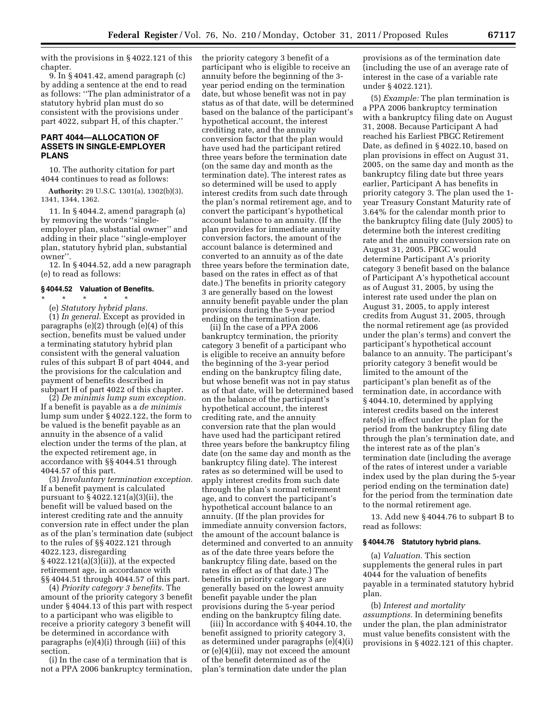with the provisions in § 4022.121 of this chapter.

9. In § 4041.42, amend paragraph (c) by adding a sentence at the end to read as follows: ''The plan administrator of a statutory hybrid plan must do so consistent with the provisions under part 4022, subpart H, of this chapter.''

## **PART 4044—ALLOCATION OF ASSETS IN SINGLE-EMPLOYER PLANS**

10. The authority citation for part 4044 continues to read as follows:

**Authority:** 29 U.S.C. 1301(a), 1302(b)(3), 1341, 1344, 1362.

11. In § 4044.2, amend paragraph (a) by removing the words ''singleemployer plan, substantial owner'' and adding in their place ''single-employer plan, statutory hybrid plan, substantial owner''.

12. In § 4044.52, add a new paragraph (e) to read as follows:

## **§ 4044.52 Valuation of Benefits.**

\* \* \* \* \*

(e) *Statutory hybrid plans.* 

(1) *In general.* Except as provided in paragraphs (e)(2) through (e)(4) of this section, benefits must be valued under a terminating statutory hybrid plan consistent with the general valuation rules of this subpart B of part 4044, and the provisions for the calculation and payment of benefits described in subpart H of part 4022 of this chapter.

(2) *De minimis lump sum exception.*  If a benefit is payable as a *de minimis*  lump sum under § 4022.122, the form to be valued is the benefit payable as an annuity in the absence of a valid election under the terms of the plan, at the expected retirement age, in accordance with §§ 4044.51 through 4044.57 of this part.

(3) *Involuntary termination exception.*  If a benefit payment is calculated pursuant to § 4022.121(a)(3)(ii), the benefit will be valued based on the interest crediting rate and the annuity conversion rate in effect under the plan as of the plan's termination date (subject to the rules of §§ 4022.121 through 4022.123, disregarding § 4022.121(a)(3)(ii)), at the expected retirement age, in accordance with §§ 4044.51 through 4044.57 of this part.

(4) *Priority category 3 benefits.* The amount of the priority category 3 benefit under § 4044.13 of this part with respect to a participant who was eligible to receive a priority category 3 benefit will be determined in accordance with paragraphs (e)(4)(i) through (iii) of this section.

(i) In the case of a termination that is not a PPA 2006 bankruptcy termination, the priority category 3 benefit of a participant who is eligible to receive an annuity before the beginning of the 3 year period ending on the termination date, but whose benefit was not in pay status as of that date, will be determined based on the balance of the participant's hypothetical account, the interest crediting rate, and the annuity conversion factor that the plan would have used had the participant retired three years before the termination date (on the same day and month as the termination date). The interest rates as so determined will be used to apply interest credits from such date through the plan's normal retirement age, and to convert the participant's hypothetical account balance to an annuity. (If the plan provides for immediate annuity conversion factors, the amount of the account balance is determined and converted to an annuity as of the date three years before the termination date, based on the rates in effect as of that date.) The benefits in priority category 3 are generally based on the lowest annuity benefit payable under the plan provisions during the 5-year period ending on the termination date.

(ii) In the case of a PPA 2006 bankruptcy termination, the priority category 3 benefit of a participant who is eligible to receive an annuity before the beginning of the 3-year period ending on the bankruptcy filing date, but whose benefit was not in pay status as of that date, will be determined based on the balance of the participant's hypothetical account, the interest crediting rate, and the annuity conversion rate that the plan would have used had the participant retired three years before the bankruptcy filing date (on the same day and month as the bankruptcy filing date). The interest rates as so determined will be used to apply interest credits from such date through the plan's normal retirement age, and to convert the participant's hypothetical account balance to an annuity. (If the plan provides for immediate annuity conversion factors, the amount of the account balance is determined and converted to an annuity as of the date three years before the bankruptcy filing date, based on the rates in effect as of that date.) The benefits in priority category 3 are generally based on the lowest annuity benefit payable under the plan provisions during the 5-year period ending on the bankruptcy filing date.

(iii) In accordance with § 4044.10, the benefit assigned to priority category 3, as determined under paragraphs (e)(4)(i) or (e)(4)(ii), may not exceed the amount of the benefit determined as of the plan's termination date under the plan

provisions as of the termination date (including the use of an average rate of interest in the case of a variable rate under § 4022.121).

(5) *Example:* The plan termination is a PPA 2006 bankruptcy termination with a bankruptcy filing date on August 31, 2008. Because Participant A had reached his Earliest PBGC Retirement Date, as defined in § 4022.10, based on plan provisions in effect on August 31, 2005, on the same day and month as the bankruptcy filing date but three years earlier, Participant A has benefits in priority category 3. The plan used the 1 year Treasury Constant Maturity rate of 3.64% for the calendar month prior to the bankruptcy filing date (July 2005) to determine both the interest crediting rate and the annuity conversion rate on August 31, 2005. PBGC would determine Participant A's priority category 3 benefit based on the balance of Participant A's hypothetical account as of August 31, 2005, by using the interest rate used under the plan on August 31, 2005, to apply interest credits from August 31, 2005, through the normal retirement age (as provided under the plan's terms) and convert the participant's hypothetical account balance to an annuity. The participant's priority category 3 benefit would be limited to the amount of the participant's plan benefit as of the termination date, in accordance with § 4044.10, determined by applying interest credits based on the interest rate(s) in effect under the plan for the period from the bankruptcy filing date through the plan's termination date, and the interest rate as of the plan's termination date (including the average of the rates of interest under a variable index used by the plan during the 5-year period ending on the termination date) for the period from the termination date to the normal retirement age.

13. Add new § 4044.76 to subpart B to read as follows:

## **§ 4044.76 Statutory hybrid plans.**

(a) *Valuation.* This section supplements the general rules in part 4044 for the valuation of benefits payable in a terminated statutory hybrid plan.

(b) *Interest and mortality assumptions.* In determining benefits under the plan, the plan administrator must value benefits consistent with the provisions in § 4022.121 of this chapter.